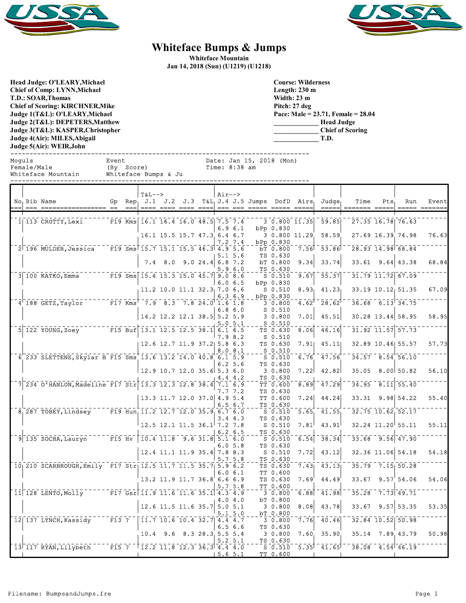



## **Whiteface Bumps & Jumps**

**Whiteface Mountain Jan 14, 2018 (Sun) (U1219) (U1218)**

**Head Judge: O'LEARY,Michael Chief of Comp: LYNN,Michael T.D.: SOAR,Thomas Chief of Scoring: KIRCHNER,Mike Judge 1(T&L): O'LEARY,Michael Judge 2(T&L): DEPETERS,Matthew Judge 3(T&L): KASPER,Christopher Judge 4(Air): MILES,Abigail Judge 5(Air): WEIR,John** 

**Course: Wilderness Length: 230 m Width: 23 m Pitch: 27 deg Pace: Male = 23.71, Female = 28.04 \_\_\_\_\_\_\_\_\_\_\_\_\_ Head Judge \_\_\_\_\_\_\_\_\_\_\_\_\_ Chief of Scoring \_\_\_\_\_\_\_\_\_\_\_\_\_ T.D.**

| Moquls<br>Female/Male<br>Whiteface Mountain |  |  |                     | Event<br>(Bv. | Score) | Whiteface Bumps & Ju                |  | Time: 8:38 am |  | Date: Jan 15, 2018 (Mon) |                                                                                    |                     |                   |      |     |       |
|---------------------------------------------|--|--|---------------------|---------------|--------|-------------------------------------|--|---------------|--|--------------------------|------------------------------------------------------------------------------------|---------------------|-------------------|------|-----|-------|
|                                             |  |  | I No. Bib Name      | Gp.           |        | <b>T&amp;L--&gt;</b>                |  | Air-->        |  |                          | $\text{Rep}_{1}$ J.1 J.2 J.3 T&L <sub>1</sub> J.4 J.5 Jumps DofD Airs <sub>1</sub> | Judae               | Time              | Pts. | Run | Event |
|                                             |  |  | $11113$ CROTTY.Lexi |               |        | F19 Kms 16.1 16.4 16.0 48.5 7.5 7.4 |  |               |  |                          |                                                                                    | 3 0.800 11.35 59.85 | 27.35 16.78 76.63 |      |     |       |

|  | F19 Kms 16.1 16.4 16.0 48.5 7.5 7.4<br>1  113 CROTTY, Lexi            |                 |                                                                                                           |                             |                  |         |            | 30.80011.35         |                     | $-59.85$                            | 27.35 16.78 76.63      |              |       |
|--|-----------------------------------------------------------------------|-----------------|-----------------------------------------------------------------------------------------------------------|-----------------------------|------------------|---------|------------|---------------------|---------------------|-------------------------------------|------------------------|--------------|-------|
|  |                                                                       |                 |                                                                                                           |                             |                  |         | 6.96.1     | bPp 0.830           |                     |                                     |                        |              |       |
|  |                                                                       |                 | 16.1 15.5 15.7 47.3 6.4 6.7                                                                               |                             |                  |         |            | 3 0.800 11.29       |                     | 58.59                               | 27.69 16.39 74.98      |              | 76.63 |
|  |                                                                       |                 |                                                                                                           |                             |                  |         | 7.2 7.4    | bPp 0.830           |                     |                                     |                        |              |       |
|  | 2 196 MULDER, Jessica F19 Sms 15.7 15.1 15.5 46.3 4.9 5.6             |                 |                                                                                                           |                             |                  |         |            | bT 0.800            | 7.56                | 53.86                               | 28.93 14.98 68.84      |              |       |
|  |                                                                       |                 |                                                                                                           |                             |                  |         | 5.1 5.6    | TS 0.630            |                     |                                     |                        |              |       |
|  |                                                                       |                 | 7.4                                                                                                       | 8.0                         | 9.024.46.87.2    |         |            | bT 0.800            | 9.34                | 33.74                               | 33.61                  | $9.64$ 43.38 | 68.84 |
|  | $3\overline{)100}$ KATKO, Emma<br>F19 Sms 15.4 15.3 15.0 45.7 9.0 8.6 |                 |                                                                                                           |                             |                  |         | 5.96.0     | TS 0.630            |                     |                                     |                        |              |       |
|  |                                                                       |                 |                                                                                                           |                             |                  |         |            | $S$ 0.510           | $\sqrt{9.67}$       | $\bar{5}\bar{5}\cdot\bar{3}\bar{7}$ | 31.79 11.72 67.09      |              |       |
|  |                                                                       |                 |                                                                                                           |                             |                  | 6.0     | 6.5        | bPp 0.830           |                     |                                     |                        |              |       |
|  |                                                                       |                 | $11.2$ 10.0 11.1 32.3 7.0 6.6                                                                             |                             |                  |         |            | $S$ 0.510           | 8.93 <sub>1</sub>   | 41.23                               | 33.19 10.12 51.35      |              | 67.09 |
|  | 4 188 GETZ, Taylor F17 Kms 7.9 8.3 7.8 24.0 1.6 1.8                   |                 |                                                                                                           |                             |                  |         | 6.36.9     | bPp 0.830           | $4.62$ <sup>T</sup> | 28.62                               | $36.68$ $6.13$ $34.75$ |              |       |
|  |                                                                       |                 |                                                                                                           |                             |                  |         | 6.86.0     | 30.800              |                     |                                     |                        |              |       |
|  |                                                                       |                 | 14.2 12.2 12.1 38.5 5.2 5.9                                                                               |                             |                  |         |            | $S$ 0.510<br>30.800 | 7.01                | 45.51                               | 30.28 13.44 58.95      |              | 58.95 |
|  |                                                                       |                 |                                                                                                           |                             |                  |         | 5.0 5.1    | $S_0.510$           |                     |                                     |                        |              |       |
|  | $5$ 122 YOUNG, Zoey<br>F15 Buf 13.1 12.5 12.5 38.1 6.1 6.5            |                 |                                                                                                           |                             |                  |         |            | $TS$ $0.630$        | $\overline{8.06}$   | $\overline{46.16}$                  | 31.92 11.57 57.73      |              |       |
|  |                                                                       |                 |                                                                                                           |                             |                  | 7.9     | 8.2        | $S$ 0.510           |                     |                                     |                        |              |       |
|  |                                                                       |                 | 12.6 12.7 11.9 37.2 5.8 6.3                                                                               |                             |                  |         |            | TS 0.630            | 7.91                | 45.11                               | 32.89 10.46 55.57      |              | 57.73 |
|  |                                                                       |                 |                                                                                                           |                             |                  | 8.0     | 8.1        | S 0.510             |                     |                                     |                        |              |       |
|  | 6 233 SLETTENE, Skylar B F15 Sms 13.6 13.2 14.0 40.8 6.1 5.9          |                 |                                                                                                           |                             |                  |         |            | $S = 0.510$         | 6.76                | $-47.56$                            | $34.57 - 8.54$ 56.10   |              |       |
|  |                                                                       |                 |                                                                                                           |                             |                  |         | 6.25.6     | TS 0.630            |                     |                                     |                        |              |       |
|  |                                                                       |                 | $12.9$ 10.7 12.0 35.6 5.3 6.0                                                                             |                             |                  |         |            | 30.800              | 7.22                | 42.82                               | 35.05                  | 8.00 50.82   | 56.10 |
|  |                                                                       |                 |                                                                                                           |                             |                  |         | 4.4 4.2    | TS 0.630            |                     |                                     |                        |              |       |
|  | 234 O'HANLON, Madeline F17 Str 13.3 12.3 12.8 38.4                    |                 |                                                                                                           |                             |                  | 7.16.9  |            | TT 0.600            | 8.89                | 47.29                               | 34.95                  | $8.11$ 55.40 |       |
|  |                                                                       |                 |                                                                                                           |                             |                  |         | 7.7 7.2    | TS 0.630            |                     |                                     |                        |              |       |
|  |                                                                       |                 | 13.3 11.7 12.0 37.0 4.9 5.4                                                                               |                             |                  |         |            | TT 0.600            | 7.24                | 44.24                               | 33.31 9.98 54.22       |              | 55.40 |
|  |                                                                       |                 |                                                                                                           |                             |                  |         | 6.56.7     | TS 0.630            |                     |                                     |                        |              |       |
|  | 8 287 TOBEY, Lindsey F19 Hun, 11.2 12.7 12.0 35.9 6.7 6.0             |                 |                                                                                                           |                             |                  |         |            | $5 - 0.510$         | 5.65                | $-41.55$                            | 32.75 10.62 52.17      |              |       |
|  |                                                                       |                 |                                                                                                           |                             |                  |         | 3.44.3     | TS 0.630            |                     |                                     |                        |              |       |
|  |                                                                       |                 | $12.5$ 12.1 11.5 36.1 7.2 7.8                                                                             |                             |                  |         |            | $S$ 0.510           | 7.81                | 43.91                               | 32.24 11.20 55.11      |              | 55.11 |
|  |                                                                       |                 |                                                                                                           |                             |                  |         | $6.2\;6.5$ | TS 0.630            |                     |                                     |                        |              |       |
|  | $\sqrt{9}$ 135 SOCHA, Lauryn $\sqrt{F15}$ Hv                          |                 | $10.4$ $11.8$ $9.6$ $31.8$ $5.1$ $6.0$                                                                    |                             |                  |         |            | $S$ 0.510           | 6.54                | 38.34                               | $33.68$ $9.56$ 47.90   |              |       |
|  |                                                                       |                 |                                                                                                           |                             |                  |         | 6.05.8     | TS 0.630            |                     |                                     |                        |              |       |
|  |                                                                       |                 |                                                                                                           | 12.4 11.1 11.9 35.4 7.8 8.3 |                  |         |            | $S$ 0.510           | 7.72                | 43.12                               | 32.36 11.06 54.18      |              | 54.18 |
|  |                                                                       |                 |                                                                                                           |                             |                  | 5.7     | 5.8        | TS 0.630            |                     |                                     |                        |              |       |
|  | 10 210 SCARBROUGH, Emily F17 Str 12.5 11.7 11.5 35.7 5.9 6.2          |                 |                                                                                                           |                             |                  |         |            | TS 0.630            | 7.43                | 43.13                               | $35.79 - 7.15$ 50.28   |              |       |
|  |                                                                       |                 |                                                                                                           |                             |                  |         | 6.06.1     | TT 0.600            |                     |                                     |                        |              |       |
|  |                                                                       |                 |                                                                                                           | 13.2 11.9 11.7 36.8 6.6 6.9 |                  |         |            | TS 0.630            | 7.69'               | 44.49                               | 33.67                  | 9.57'54.06   | 54.06 |
|  |                                                                       |                 |                                                                                                           |                             |                  |         | 5.75.8     | TT 0.600            |                     |                                     |                        |              |       |
|  | 11 128 LENTO, Molly F17 Gsr 11.9 11.6 11.6 35.1 4.3 4.9               |                 |                                                                                                           |                             |                  |         |            | 30.800              | 6.88                | 41.98                               | 35.28                  | $7.73$ 49.71 |       |
|  |                                                                       |                 |                                                                                                           |                             |                  |         | 4.04.0     | bT 0.800            |                     |                                     |                        |              |       |
|  |                                                                       |                 |                                                                                                           | 12.6 11.5 11.6 35.7 5.0 5.1 |                  |         |            | 30.800              | 8.08                | 43.78                               | 33.67                  | $9.57$ 53.35 | 53.35 |
|  |                                                                       |                 |                                                                                                           |                             |                  |         | 5.15.0     | bT 0.800            |                     |                                     |                        |              |       |
|  | $12$ <sup><math>-137</math></sup> LYNCH, Kassidy                      | $ \bar{F}$ 13 ? | $\overline{11.7}$ $\overline{10.6}$ $\overline{10.4}$ $\overline{32.7}$ $\overline{4.4}$ $\overline{4.7}$ |                             |                  |         |            | 30.800              | 7.76                | 40.46                               | 32.84 10.52 50.98      |              |       |
|  |                                                                       |                 |                                                                                                           |                             |                  |         | 6.56.6     | TS 0.630            |                     |                                     |                        |              |       |
|  |                                                                       |                 | 10.4                                                                                                      | 9.6                         | 8.3 28.3 5.5 5.4 |         |            | 30.800              | 7.60.               | 35.90                               | 35.14                  | 7.89.43.79   | 50.98 |
|  |                                                                       |                 |                                                                                                           |                             |                  |         | 5.25.1     | TS 0.630            |                     |                                     |                        |              |       |
|  | 13 117 RYAN, Lilybeth                                                 | F15 ?           | $\begin{bmatrix} 12.2 & 11.8 & 12.3 & 36.3 & 4.4 & 4.0 \end{bmatrix}$                                     |                             |                  |         |            | $S$ 0.510           | 5.35                | $41.65^{\dagger}$                   | $38.08$ 4.54 46.19     |              |       |
|  |                                                                       |                 |                                                                                                           |                             |                  | 15.65.1 |            | TT 0.600            |                     |                                     |                        |              |       |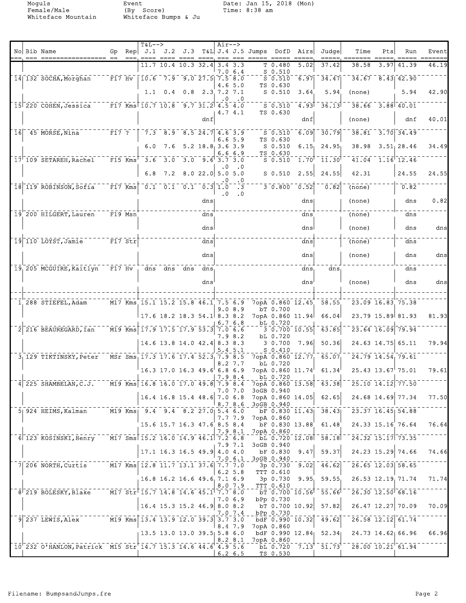Moguls Event Date: Jan 15, 2018 (Mon)<br>Female/Male (By Score) Time: 8:38 am<br>Whiteface Mountain Whiteface Bumps & Ju Female/Male (By Score) Time: 8:38 am Whiteface Mountain Whiteface Bumps & Ju

|  |                                                                                                                                                                                                                                                                                                       |                                                |                         | $T&L-->$                                                                                                             |                                                                                                        |      | $\overline{\text{Air}} \rightarrow$ |                         |                                                |                                                       |        |                                                            |                                                                                                                                                                                                                                                                                                                     |      |                        |                 |
|--|-------------------------------------------------------------------------------------------------------------------------------------------------------------------------------------------------------------------------------------------------------------------------------------------------------|------------------------------------------------|-------------------------|----------------------------------------------------------------------------------------------------------------------|--------------------------------------------------------------------------------------------------------|------|-------------------------------------|-------------------------|------------------------------------------------|-------------------------------------------------------|--------|------------------------------------------------------------|---------------------------------------------------------------------------------------------------------------------------------------------------------------------------------------------------------------------------------------------------------------------------------------------------------------------|------|------------------------|-----------------|
|  | No Bib Name<br>---- --                                                                                                                                                                                                                                                                                |                                                | $==$                    |                                                                                                                      |                                                                                                        |      | $== = = ==$                         |                         | Gp Rep J.1 J.2 J.3 T&L J.4 J.5 Jumps DofD Airs |                                                       |        | Judge                                                      | Time                                                                                                                                                                                                                                                                                                                | Pts  | Run                    | Event<br>====== |
|  |                                                                                                                                                                                                                                                                                                       |                                                |                         |                                                                                                                      | $11.7$ 10.4 10.3 32.4                                                                                  |      |                                     | $3.4 \, 3.3$<br>7.0 6.4 |                                                | T 0.480<br>$S$ 0.510                                  | 5.02   | 37.42                                                      | 38.58                                                                                                                                                                                                                                                                                                               | 3.97 | 41.39                  | 46.19           |
|  | $14$   132 SOCHA, Morghan                                                                                                                                                                                                                                                                             |                                                | $F17$ Hv $\overline{ }$ | $\frac{1}{10.6}$ $\frac{7}{3}$ $\frac{9}{9}$ $\frac{0}{27}$ $\frac{2}{5}$ $\frac{7}{5}$ $\frac{5}{8}$ $\frac{3}{10}$ |                                                                                                        |      |                                     |                         |                                                | $S$ 0.510 6.97                                        |        | $\sqrt{34.47}$                                             | $34.67 - 8.43$ $42.90$                                                                                                                                                                                                                                                                                              |      |                        |                 |
|  |                                                                                                                                                                                                                                                                                                       |                                                |                         |                                                                                                                      | $1.1 \t0.4 \t0.8 \t2.3 \t7.2 \t7.1$                                                                    |      |                                     | 4.6 5.0                 |                                                | TS 0.630<br>$S_0.510$                                 | 3.64   | 5.94                                                       | (none)                                                                                                                                                                                                                                                                                                              |      | 5.94                   | 42.90           |
|  | 15 220 COHEN, Jessica                                                                                                                                                                                                                                                                                 |                                                |                         | $\overline{F17}$ Kms $10.7$ $10.8$ $9.7$ $31.2$ $4.5$ $4.0$                                                          |                                                                                                        |      | . 0                                 | $\cdot$ 0               |                                                | S 0.510                                               | 4.93   | $-36.13$                                                   | $38.66$ $3.88$ $40.01$                                                                                                                                                                                                                                                                                              |      |                        |                 |
|  |                                                                                                                                                                                                                                                                                                       |                                                |                         |                                                                                                                      |                                                                                                        |      |                                     | 4.7 4.1                 |                                                | TS 0.630                                              |        |                                                            |                                                                                                                                                                                                                                                                                                                     |      |                        |                 |
|  |                                                                                                                                                                                                                                                                                                       |                                                |                         |                                                                                                                      |                                                                                                        | dnf  |                                     |                         |                                                |                                                       | dnf    |                                                            | (none)                                                                                                                                                                                                                                                                                                              |      | dnf                    | 40.01           |
|  | $16$ 45 MORSE, Nina                                                                                                                                                                                                                                                                                   | $-\bar{F}17$ ?                                 |                         |                                                                                                                      | $\overline{7.3}$ $\overline{8.9}$ $\overline{8.5}$ $\overline{24.7}$ $\overline{4.6}$ $\overline{3.9}$ |      |                                     | 6.65.9                  |                                                | $S$ 0.510<br>TS 0.630                                 | ີ6.09້ | $\overline{30.79}$                                         | $38.81$ $3.70$ $34.49$                                                                                                                                                                                                                                                                                              |      |                        |                 |
|  |                                                                                                                                                                                                                                                                                                       |                                                |                         |                                                                                                                      | 6.0 7.6 5.2 18.8 3.6 3.9                                                                               |      |                                     |                         |                                                | $S$ 0.510                                             | 6.15   | 24.95                                                      |                                                                                                                                                                                                                                                                                                                     |      | $38.98$ $3.51$ 28.46   | 34.49           |
|  | $17$ <sup><math>-109</math></sup> SETAREH, Rachel                                                                                                                                                                                                                                                     |                                                | $F15$ Kms               | $-3.6 - 3.0 - 3.0 - 9.6 - 3.7 - 3.0$                                                                                 |                                                                                                        |      |                                     | 6.6 6.9                 |                                                | TS 0.630<br>$S$ 0.510                                 | 1.70   | 11.30                                                      |                                                                                                                                                                                                                                                                                                                     |      | $41.04$ $1.16$ $12.46$ |                 |
|  |                                                                                                                                                                                                                                                                                                       |                                                |                         |                                                                                                                      | 6.8 7.2 8.0 22.0 5.0 5.0                                                                               |      |                                     |                         |                                                | $S$ 0.510                                             | 2.55   | 24.55                                                      | 42.31                                                                                                                                                                                                                                                                                                               |      | 24.55                  | 24.55           |
|  |                                                                                                                                                                                                                                                                                                       |                                                |                         |                                                                                                                      |                                                                                                        |      |                                     | $\cdot$ 0               |                                                |                                                       |        |                                                            |                                                                                                                                                                                                                                                                                                                     |      |                        |                 |
|  | 18 119 ROBINSON, Sofia                                                                                                                                                                                                                                                                                | $ \bar{F}$ 17 $\overline{K}$ ms $\overline{S}$ |                         | $\begin{bmatrix} 0.1 & 0.1 & 0.1 & 0.1 & 0.3 & 1.0 & 3 \end{bmatrix}$                                                |                                                                                                        |      | . 0                                 | $\cdot$ .0              |                                                | $\overline{3}\,\overline{0.800}^{-}\,\overline{0.52}$ |        | $\overline{0.82}$                                          | (none)                                                                                                                                                                                                                                                                                                              |      | 0.82                   |                 |
|  |                                                                                                                                                                                                                                                                                                       |                                                |                         |                                                                                                                      |                                                                                                        | dns  |                                     |                         |                                                |                                                       | dns    |                                                            | (none)                                                                                                                                                                                                                                                                                                              |      | dns                    | 0.82            |
|  | 19 200 HILGERT, Lauren                                                                                                                                                                                                                                                                                | $F19$ Msn                                      |                         |                                                                                                                      |                                                                                                        | dns  |                                     |                         |                                                |                                                       | dns    |                                                            | (none)                                                                                                                                                                                                                                                                                                              |      | dns                    |                 |
|  |                                                                                                                                                                                                                                                                                                       |                                                |                         |                                                                                                                      |                                                                                                        | dnsl |                                     |                         |                                                |                                                       | dnsl   |                                                            | (none)                                                                                                                                                                                                                                                                                                              |      | dns                    | dns             |
|  | 19 110 LOYST, Jamie 70 F17 Str                                                                                                                                                                                                                                                                        |                                                |                         |                                                                                                                      |                                                                                                        | dns  |                                     |                         |                                                |                                                       | dns    |                                                            | (none)                                                                                                                                                                                                                                                                                                              |      | dns                    |                 |
|  |                                                                                                                                                                                                                                                                                                       |                                                |                         |                                                                                                                      |                                                                                                        |      |                                     |                         |                                                |                                                       |        |                                                            |                                                                                                                                                                                                                                                                                                                     |      |                        | dns             |
|  |                                                                                                                                                                                                                                                                                                       |                                                |                         |                                                                                                                      |                                                                                                        | dns  |                                     |                         |                                                |                                                       | dns    |                                                            | (none)                                                                                                                                                                                                                                                                                                              |      | dns                    |                 |
|  | 19, 205 MCGUIRE, Kaitlyn F17 Hv                                                                                                                                                                                                                                                                       |                                                |                         |                                                                                                                      | dns dns dns                                                                                            | dns  |                                     |                         |                                                |                                                       | dns,   | dns,                                                       |                                                                                                                                                                                                                                                                                                                     |      | dns                    |                 |
|  |                                                                                                                                                                                                                                                                                                       |                                                |                         |                                                                                                                      |                                                                                                        | dns  |                                     |                         |                                                |                                                       | dns    |                                                            | (none)                                                                                                                                                                                                                                                                                                              |      | dns                    | dns             |
|  |                                                                                                                                                                                                                                                                                                       |                                                |                         |                                                                                                                      |                                                                                                        |      |                                     |                         |                                                |                                                       |        |                                                            |                                                                                                                                                                                                                                                                                                                     |      |                        |                 |
|  | 1 288 STIEFEL, Adam                                                                                                                                                                                                                                                                                   |                                                |                         |                                                                                                                      |                                                                                                        |      |                                     | 9.0 8.9                 |                                                | bT 0.700                                              |        | M17 Kms 15.1 15.2 15.8 46.1 7.5 6.9 7opA 0.860 12.45 58.55 | 23.09 16.83 75.38                                                                                                                                                                                                                                                                                                   |      |                        |                 |
|  |                                                                                                                                                                                                                                                                                                       |                                                |                         | $17.6$ 18.2 18.3 54.1 8.3 8.2                                                                                        |                                                                                                        |      |                                     | 6.7 6.8                 |                                                | 7opA 0.860 11.94<br>bL 0.720                          |        | 66.04                                                      |                                                                                                                                                                                                                                                                                                                     |      | 23.79 15.89 81.93      | 81.93           |
|  | 2 216 BEAUREGARD, Ian                                                                                                                                                                                                                                                                                 |                                                |                         | M19 Kms 17.9 17.5 17.9 53.3 7.0 6.6                                                                                  |                                                                                                        |      |                                     |                         |                                                | $3\overline{0.700}\overline{10.55}$                   |        | 63.85                                                      |                                                                                                                                                                                                                                                                                                                     |      | 23.64 16.09 79.94      |                 |
|  |                                                                                                                                                                                                                                                                                                       |                                                |                         |                                                                                                                      | 14.6 13.8 14.0 42.4 8.3 8.3                                                                            |      |                                     | 7.9 8.2                 |                                                | bL 0.720<br>30.700                                    | 7.96   | 50.36                                                      |                                                                                                                                                                                                                                                                                                                     |      | 24.63 14.75 65.11      | 79.94           |
|  | 3 129 TIKTINSKY, Peter                                                                                                                                                                                                                                                                                |                                                |                         | MSr Sms 17.3 17.6 17.4 52.3 7.9 8.5                                                                                  |                                                                                                        |      |                                     | 5.4 5.1                 |                                                | $S_0.410$<br>$7$ opA $0.860$ $12.77$                  |        | 65.07                                                      | $\overline{24.79}$ 14.54, 79.61                                                                                                                                                                                                                                                                                     |      |                        |                 |
|  |                                                                                                                                                                                                                                                                                                       |                                                |                         |                                                                                                                      |                                                                                                        |      |                                     | 8.2 7.7                 |                                                | bL 0.720                                              |        |                                                            |                                                                                                                                                                                                                                                                                                                     |      |                        |                 |
|  |                                                                                                                                                                                                                                                                                                       |                                                |                         |                                                                                                                      | $16.3$ 17.0 16.3 49.6 6.8 6.9                                                                          |      | 7.9 8.4                             |                         |                                                | 7opA 0.860 11.74<br>bL 0.720                          |        | 61.34                                                      |                                                                                                                                                                                                                                                                                                                     |      | 25.43 13.67 75.01      | 79.61           |
|  | $4$ 225 SHAMBELAN, C.J. $-$ M19 Kms 16.8 16.0 17.0 49.8 7.9 $\frac{1}{6}$ , $\frac{1}{2}$ $\frac{1}{6}$ , $\frac{1}{6}$ $\frac{1}{6}$ , $\frac{1}{6}$ $\frac{1}{6}$ , $\frac{1}{6}$ $\frac{1}{6}$ , $\frac{1}{6}$ $\frac{1}{6}$ , $\frac{1}{6}$ $\frac{1}{6}$ , $\frac{1}{6}$ $\frac{1}{6}$ , $\frac$ |                                                |                         |                                                                                                                      |                                                                                                        |      |                                     | 7.0 7.0                 |                                                | 3oGB 0.940                                            |        |                                                            |                                                                                                                                                                                                                                                                                                                     |      |                        |                 |
|  |                                                                                                                                                                                                                                                                                                       |                                                |                         | $16.4$ 16.8 15.4 48.6 7.0 6.8                                                                                        |                                                                                                        |      |                                     |                         | 8.7 8.6 3oGB 0.940                             | 7opA 0.860 14.05                                      |        |                                                            | $62.65$ 24.68 14.69 77.34                                                                                                                                                                                                                                                                                           |      |                        | 77.50           |
|  | 5 924 HEIMS, Kalman M19 Kms 9.4 9.4 8.2 27.0 5.4 6.0                                                                                                                                                                                                                                                  |                                                |                         |                                                                                                                      |                                                                                                        |      |                                     |                         |                                                |                                                       |        |                                                            | $\overline{56.830}$ 11.43 38.43 $\overline{23.37}$ 16.45 54.88                                                                                                                                                                                                                                                      |      |                        |                 |
|  |                                                                                                                                                                                                                                                                                                       |                                                |                         | 15.6 15.7 16.3 47.6 8.5 8.4                                                                                          |                                                                                                        |      |                                     |                         | 7.7 7.9 7opA 0.860                             |                                                       |        |                                                            | bF 0.830 13.88 $61.48$ 24.33 15.16 76.64                                                                                                                                                                                                                                                                            |      |                        | 76.64           |
|  | 6 123 KOSINSKI, Henry M17 Sms 15.2 16.0 14.9 46.1 7.2 6.8                                                                                                                                                                                                                                             |                                                |                         |                                                                                                                      |                                                                                                        |      |                                     |                         | 7.9 8.1 7opA 0.860                             |                                                       |        |                                                            | $\frac{1}{2}$ $\frac{1}{2}$ $\frac{1}{2}$ $\frac{1}{2}$ $\frac{1}{2}$ $\frac{1}{2}$ $\frac{1}{2}$ $\frac{1}{2}$ $\frac{1}{2}$ $\frac{1}{2}$ $\frac{1}{2}$ $\frac{1}{2}$ $\frac{1}{2}$ $\frac{1}{2}$ $\frac{1}{2}$ $\frac{1}{2}$ $\frac{1}{2}$ $\frac{1}{2}$ $\frac{1}{2}$ $\frac{1}{2}$ $\frac{1}{2}$ $\frac{1}{2}$ |      |                        |                 |
|  |                                                                                                                                                                                                                                                                                                       |                                                |                         |                                                                                                                      |                                                                                                        |      |                                     | 7.9 7.1                 |                                                | 3oGB 0.940                                            |        |                                                            |                                                                                                                                                                                                                                                                                                                     |      |                        |                 |
|  |                                                                                                                                                                                                                                                                                                       |                                                |                         | $17.1$ 16.3 16.5 49.9 4.0 4.0                                                                                        |                                                                                                        |      |                                     | 7.0 6.1                 | 3oGB 0.940                                     | $\bm{\triangleright}$ F 0.830 9.47                    |        |                                                            | $59.37$ 24.23 15.29 74.66                                                                                                                                                                                                                                                                                           |      |                        | 74.66           |
|  | $7$ 206 NORTH, Curtis $12.8$ 11.7 13.1 37.6 7.7 7.0                                                                                                                                                                                                                                                   |                                                |                         |                                                                                                                      |                                                                                                        |      |                                     | $6.2\;5.8$              |                                                | 3p 0.730 9.02<br>TTT 0.610                            |        |                                                            | $-46.62$ $-26.65$ 12.03 58.65                                                                                                                                                                                                                                                                                       |      |                        |                 |
|  |                                                                                                                                                                                                                                                                                                       |                                                |                         | 16.8 16.2 16.6 49.6 7.1 6.9                                                                                          |                                                                                                        |      |                                     |                         |                                                |                                                       |        |                                                            | 3p 0.730 9.95 59.55 26.53 12.19 71.74                                                                                                                                                                                                                                                                               |      |                        | 71.74           |
|  | 8 219 BOLESKY, Blake M17 Str 15.7 14.8 14.6 45.1 7.7 8.0                                                                                                                                                                                                                                              |                                                |                         |                                                                                                                      |                                                                                                        |      |                                     | 8.0 7.9                 |                                                | <b>TTT 0.610</b>                                      |        |                                                            | $\sqrt{5}$ $\sqrt{0.700}$ $\sqrt{10.56}$ $\sqrt{55.66}$ $\sqrt{26.30}$ $\sqrt{12.50}$ $\sqrt{68.16}$                                                                                                                                                                                                                |      |                        |                 |
|  |                                                                                                                                                                                                                                                                                                       |                                                |                         | $16.4$ 15.3 15.2 46.9 8.0 8.2                                                                                        |                                                                                                        |      |                                     | 7.0 6.9                 |                                                | bPp 0.730                                             |        |                                                            | $\text{bT}$ 0.700 10.92 57.82 26.47 12.27 70.09                                                                                                                                                                                                                                                                     |      |                        | 70.09           |
|  | $9\overline{)237}$ LEWIS, Alex $\overline{)13.4}$ 13.4 13.9 12.0 39.3 3.7 3.7                                                                                                                                                                                                                         |                                                |                         |                                                                                                                      |                                                                                                        |      |                                     | 7.07.4                  |                                                | bPp 0.730                                             |        |                                                            | $\frac{1}{2}$ bdF $\frac{1}{0}$ ,990 10.32 $\frac{1}{4}$ 49.62 $\frac{1}{2}$ 26.58 12.12 61.74                                                                                                                                                                                                                      |      |                        |                 |
|  |                                                                                                                                                                                                                                                                                                       |                                                |                         |                                                                                                                      |                                                                                                        |      |                                     | 8.4 7.9                 |                                                | 7opA 0.860                                            |        |                                                            |                                                                                                                                                                                                                                                                                                                     |      |                        |                 |
|  |                                                                                                                                                                                                                                                                                                       |                                                |                         | $13.5$ 13.0 13.0 39.5 5.8 6.0                                                                                        |                                                                                                        |      |                                     | 8.28.1                  |                                                | 7opA 0.860                                            |        |                                                            | $\text{bdF}$ 0.990 12.84 52.34 24.73 14.62 66.96                                                                                                                                                                                                                                                                    |      |                        | 66.96           |
|  | 10 232 O'HANLON, Patrick M15 Str 14.7 15.3 14.6 44.6 4.9 5.6                                                                                                                                                                                                                                          |                                                |                         |                                                                                                                      |                                                                                                        |      |                                     |                         |                                                |                                                       |        |                                                            | $\overline{b}$ L 0.720 7.13 51.73 28.00 10.21 61.94                                                                                                                                                                                                                                                                 |      |                        |                 |
|  |                                                                                                                                                                                                                                                                                                       |                                                |                         |                                                                                                                      |                                                                                                        |      |                                     | $6.2\;6.5$              |                                                | TS 0.530                                              |        |                                                            |                                                                                                                                                                                                                                                                                                                     |      |                        |                 |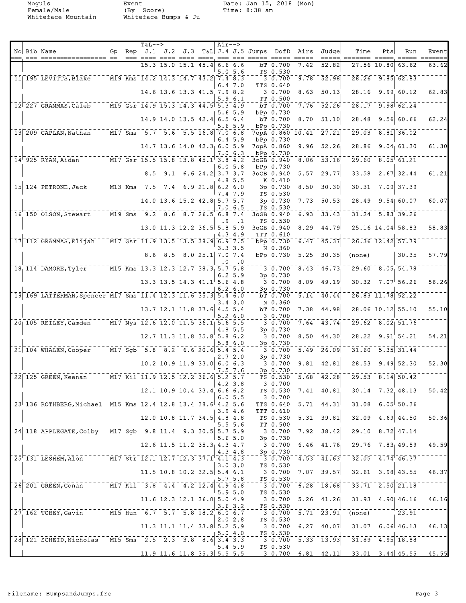Moguls Event Date: Jan 15, 2018 (Mon)<br>Female/Male (By Score) Time: 8:38 am<br>Whiteface Mountain Whiteface Bumps & Ju Female/Male (By Score) Time: 8:38 am Whiteface Mountain Whiteface Bumps & Ju

| $==  =$ | No Bib Name                                                                                                                                                | Gp.                  | Re <sub>D</sub> | $T&L-->$                                                                 |             |                                                                    |                  | $Air--$            |           | J.1 J.2 J.3 T&L J.4 J.5 Jumps DofD Airs |                               |                                                                               | Judge              | Time                                                                                                                                                                                                                                                                            | Pts         | Run                                   | Event |
|---------|------------------------------------------------------------------------------------------------------------------------------------------------------------|----------------------|-----------------|--------------------------------------------------------------------------|-------------|--------------------------------------------------------------------|------------------|--------------------|-----------|-----------------------------------------|-------------------------------|-------------------------------------------------------------------------------|--------------------|---------------------------------------------------------------------------------------------------------------------------------------------------------------------------------------------------------------------------------------------------------------------------------|-------------|---------------------------------------|-------|
|         |                                                                                                                                                            |                      |                 |                                                                          |             | $15.3$ 15.0 15.1 45.4                                              |                  | 6.66.6<br>5.0 5.6  |           |                                         | bT 0.700<br>TS 0.530          | 7.42                                                                          | 52.82              |                                                                                                                                                                                                                                                                                 | 27.56 10.80 | 63.62                                 | 63.62 |
|         | 11 195 LEVITTS, Blake                                                                                                                                      |                      |                 | M19 Kms 14.2 14.3 14.7 43.2 7.4 8.3                                      |             |                                                                    |                  | 6.47.0             |           |                                         | 3 0.700<br><b>TTS 0.640</b>   | 9.78                                                                          | $\overline{52.98}$ |                                                                                                                                                                                                                                                                                 |             | $28.26 - 9.85$ 62.83                  |       |
|         |                                                                                                                                                            |                      |                 |                                                                          |             | 14.6 13.6 13.3 41.5 7.9 8.2                                        |                  | 5.9 6.1            |           |                                         | 3 0.700<br>TT 0.500           | 8.63                                                                          | 50.13              | 28.16                                                                                                                                                                                                                                                                           |             | 9.99 60.12                            | 62.83 |
|         | 12 227 GRAMMAS, Caleb                                                                                                                                      |                      |                 | M15 Gsr 14.9 15.3 14.3 44.5 5.3 4.9                                      |             |                                                                    |                  |                    |           |                                         | bT 0.700                      | 7.76                                                                          | 52.26              | 28.17                                                                                                                                                                                                                                                                           |             | $9.98$ 62.24                          |       |
|         |                                                                                                                                                            |                      |                 |                                                                          |             | 14.9 14.0 13.5 42.4 6.5 6.4                                        |                  | 5.6 5.9            |           |                                         | bPp 0.730<br>bT 0.700         | 8.70                                                                          | 51.10              | 28.48                                                                                                                                                                                                                                                                           |             | 9.56 60.66                            | 62.24 |
|         | 13 209 CAPLAN, Nathan                                                                                                                                      |                      |                 | $\overline{M17}$ Sms $\overline{5.7}$ $\overline{5.6}$                   |             | $-5.5$ $16.8$ $7.0$ $6.8$                                          |                  | 5.6 5.9            |           |                                         | bPp 0.730                     | 7opA 0.860 10.41                                                              | $\overline{27.21}$ | 29.03                                                                                                                                                                                                                                                                           |             | $\sqrt{8.81}$ 36.02                   |       |
|         |                                                                                                                                                            |                      |                 |                                                                          |             | $14.7$ 13.6 14.0 42.3 6.0 5.9                                      |                  | $6.4\ \,5.9$       |           |                                         | bPp 0.730<br>7opA 0.860       | 9.96                                                                          | 52.26              | 28.86                                                                                                                                                                                                                                                                           |             | 9.04, 61.30                           | 61.30 |
|         | $14^{\dagger}$ 925 RYAN, Aidan                                                                                                                             |                      |                 | M17 Gsr <sup>1</sup> 15.5 15.8 13.8 45.1 <sup>1</sup> 3.8 4.2            |             |                                                                    |                  | 7.0 6.3            |           |                                         | bPp 0.730<br>3oGB 0.940       | 8.06                                                                          | 53.16              | 29.60                                                                                                                                                                                                                                                                           |             | $8.05$ <sup><math>-61.21</math></sup> |       |
|         |                                                                                                                                                            |                      |                 | 8.5                                                                      | 9.1         |                                                                    | 6.6 24.2 3.7 3.7 | 6.05.8             |           |                                         | bPp 0.730<br>3oGB 0.940       | 5.57                                                                          | 29.77              | 33.58                                                                                                                                                                                                                                                                           |             | $2.67$ 32.44                          | 61.21 |
|         | 15 124 PETRONE, Jack                                                                                                                                       | $\overline{M13}$ Kms |                 |                                                                          |             | $\begin{bmatrix} 7.5 & 7.4 & 6.9 & 21.8 & 6.2 & 6.0 \end{bmatrix}$ |                  |                    | 4.8 5.5   |                                         | K 0.410<br>3p 0.730           | 8.50                                                                          | 30.30              | 30.31                                                                                                                                                                                                                                                                           |             | $7.09$ 37.39                          |       |
|         |                                                                                                                                                            |                      |                 |                                                                          |             | 14.0 13.6 15.2 42.8 5.7 5.7                                        |                  | 7.4 7.9            |           |                                         | TS 0.530<br>3p 0.730          | 7.73                                                                          | 50.53              | 28.49                                                                                                                                                                                                                                                                           |             | 9.54 60.07                            | 60.07 |
|         | 16 150 OLSON, Stewart                                                                                                                                      | $M19$ Sms            |                 |                                                                          | $9.2$ 8.6   | 8.7 26.5 6.8 7.4                                                   |                  | 7.0 6.5            |           |                                         | TS 0.530<br>3oGB 0.940        | 6.93                                                                          | 33.43              |                                                                                                                                                                                                                                                                                 |             | $31.24$ $5.83$ 39.26                  |       |
|         |                                                                                                                                                            |                      |                 | 13.0 11.3 12.2 36.5  5.8 5.9                                             |             |                                                                    |                  | . 9                | $\cdot$ 1 |                                         | TS 0.530<br>3oGB 0.940        | 8.29                                                                          | 44.79              |                                                                                                                                                                                                                                                                                 |             | 25.16 14.04 58.83                     | 58.83 |
|         | 17 112 GRAMMAS, Elijah                                                                                                                                     |                      |                 | $\sqrt{17}$ Gsr 11.9 13.5 13.5 38.9 6.9 7.5                              |             |                                                                    |                  | 4.3 4.9            |           |                                         | <b>TTT 0.610</b><br>bPp 0.730 | 6.47                                                                          | 45.37              |                                                                                                                                                                                                                                                                                 |             | 26.36 12.42 57.79                     |       |
|         |                                                                                                                                                            |                      |                 |                                                                          |             | 8.025.17.07.4                                                      |                  | 3.33.5             |           |                                         | N 0.360                       |                                                                               |                    |                                                                                                                                                                                                                                                                                 |             | 30.35                                 |       |
|         |                                                                                                                                                            |                      |                 |                                                                          | $8.6$ $8.5$ |                                                                    |                  | 0                  | .0        |                                         | bPp 0.730                     | 5.25                                                                          | 30.35              | (none)                                                                                                                                                                                                                                                                          |             |                                       | 57.79 |
|         | $18, 114$ DAMORE, Tyler                                                                                                                                    |                      |                 | M15 Kms 13.3 12.3 12.7 38.3 5.7 5.8                                      |             |                                                                    |                  | 6.2 5.9            |           |                                         | 3 0.700<br>3p 0.730           | 8.43                                                                          | 46.73              | 29.60                                                                                                                                                                                                                                                                           |             | 8.05 54.78                            |       |
|         |                                                                                                                                                            |                      |                 |                                                                          |             | $13.3$ 13.5 14.3 41.1 5.6 4.8                                      |                  | $6.2\;6.0$         |           |                                         | 3 0.700<br>3p 0.730           | 8.09                                                                          | 49.19              | 30.32                                                                                                                                                                                                                                                                           |             | $7.07 \, 56.26$                       | 56.26 |
|         | 19 169 LATTERMAN, Spencer M17 Sms 11.4 12.3 11.6 35.3 5.4 6.0                                                                                              |                      |                 |                                                                          |             |                                                                    |                  | 3.43.0             |           |                                         | bT 0.700<br>N 0.360           | 5.14                                                                          | 40.44              |                                                                                                                                                                                                                                                                                 |             | 26.83 11.78 52.22                     |       |
|         |                                                                                                                                                            |                      |                 |                                                                          |             | 13.7 12.1 11.8 37.6 4.5 5.4                                        |                  | 5.26.0             |           |                                         | bT 0.700<br>3 0.700           | 7.38                                                                          | 44.98              |                                                                                                                                                                                                                                                                                 |             | 28.06 10.12 55.10                     | 55.10 |
|         | 20 105 REILEY, Camden                                                                                                                                      |                      |                 | M17 Nys 12.6 12.0 11.5 36.1 5.6 5.5                                      |             |                                                                    |                  | 4.8 5.5            |           |                                         | 3 0.700<br>3p 0.730           | 7.64                                                                          | 43.74              | 29.62                                                                                                                                                                                                                                                                           |             | $8.02$ 51.76                          |       |
|         |                                                                                                                                                            |                      |                 |                                                                          |             | 12.7 11.3 11.8 35.8 5.8 6.2                                        |                  | 5.8 6.0            |           |                                         | 3 0.700<br>3p 0.730           | 8.50                                                                          | 44.30              | 28.22                                                                                                                                                                                                                                                                           |             | 9.91'54.21                            | 54.21 |
|         | 21 104 WHALEN, Cooper                                                                                                                                      |                      |                 | $\boxed{$ M17 Sgb $\boxed{5.8}$ $\boxed{8.2}$ $\boxed{6.6}$ 20.6 5.4 5.4 |             |                                                                    |                  |                    |           |                                         | 3 0.700                       | 5.49                                                                          | 26.09              | 31.60                                                                                                                                                                                                                                                                           |             | $\overline{5.35}$ $\overline{31.44}$  |       |
|         |                                                                                                                                                            |                      |                 |                                                                          |             | $10.2$ 10.9 11.9 33.0 6.0 6.3                                      |                  | 2.7 2.0<br>7.5 7.6 |           |                                         | 3p 0.730<br>3 0.700           | 9.81                                                                          | 42.81              | 28.53                                                                                                                                                                                                                                                                           |             | $9.49$ 52.30                          | 52.30 |
|         | 22 125 GREEN, Keenan                                                                                                                                       |                      |                 | M17 Kil 11.9 12.5 12.2 36.6 5.2 5.7                                      |             |                                                                    |                  |                    |           |                                         | 3p 0.730<br>TS 0.530          | $\overline{5.68}$                                                             | 42.28              |                                                                                                                                                                                                                                                                                 |             | $29.53$ $8.14$ $50.42$                |       |
|         |                                                                                                                                                            |                      |                 |                                                                          |             | 12.1 10.9 10.4 33.4 6.6 6.2                                        |                  | 4.2 3.8            |           |                                         | 30.700<br>TS 0.530            |                                                                               |                    | $7.41$ , $40.81$ , $30.14$ , $7.32$ , $48.13$                                                                                                                                                                                                                                   |             |                                       | 50.42 |
|         | 23 136 ROTHBERG, Michael M15 Kms 12.4 12.8 13.4 38.6 4.2 5.6                                                                                               |                      |                 |                                                                          |             |                                                                    |                  | 6.05.5             |           |                                         | 3 0.700<br><b>TTS 0.640</b>   |                                                                               |                    | $-5.71$ <sup>1</sup> $-44.31$ <sup>1</sup> $-31.08$ $-6.05$ $50.36$                                                                                                                                                                                                             |             |                                       |       |
|         |                                                                                                                                                            |                      |                 |                                                                          |             | 12.0 10.8 11.7 34.5 4.8 4.8                                        |                  | 3.94.6             |           |                                         | TTT 0.610<br>TS 0.530         | 5.31                                                                          |                    | $39.81$ $32.09$ $4.69$ $44.50$                                                                                                                                                                                                                                                  |             |                                       | 50.36 |
|         | 24 118 APPLEGATE, Colby M17 Sgb 9.8 11.4 9.3 30.5 5.7 5.9                                                                                                  |                      |                 |                                                                          |             |                                                                    |                  |                    | 5.5 5.6   |                                         | TT 0.500                      |                                                                               |                    | $-38.42$ $-29.10$ $-8.72$ $47.14$                                                                                                                                                                                                                                               |             |                                       |       |
|         |                                                                                                                                                            |                      |                 | 12.6 11.5 11.2 35.3 4.3 4.7                                              |             |                                                                    |                  | 15.65.0            |           |                                         | 3p 0.730<br>30.700            |                                                                               |                    | 6.46 $41.76$ 29.76 7.83 49.59 49.59                                                                                                                                                                                                                                             |             |                                       |       |
|         | $25$ 131 LESHEM, Alon M17 Str 12.1 12.7 12.3 37.1 4.1 4.3                                                                                                  |                      |                 |                                                                          |             |                                                                    |                  | 4.34.8             |           |                                         | 3p 0.730                      |                                                                               |                    | $-3$ 0.700 $-4.53$ $-41.63$ $-32.05$ $-4.74$ $-46.37$                                                                                                                                                                                                                           |             |                                       |       |
|         |                                                                                                                                                            |                      |                 | $ 11.5 \t10.8 \t10.2 \t32.5  5.4 \t6.1$                                  |             |                                                                    |                  | 3.03.0             |           |                                         | TS 0.530                      |                                                                               |                    | $3\;\; 0.700\quad 7.07 \quad 39.57 \quad \; 32.61\quad 3.98 \quad 43.55\quad \; 46.37$                                                                                                                                                                                          |             |                                       |       |
|         | $26\overline{201}$ GREEN, Conan $\overline{17}$ Kil $\overline{3.8}$ $\overline{4.4}$ $\overline{4.2}$ $\overline{12.4}$ $\overline{4.9}$ $\overline{4.8}$ |                      |                 |                                                                          |             |                                                                    |                  | 5.75.8             |           |                                         | TS 0.530                      | $  \frac{2}{3}$ $\frac{1}{0}$ , $\frac{1}{700}$ $\frac{1}{6}$ , $\frac{2}{8}$ |                    | $-18.68$ <sup>--</sup> 33.71 <sup>--</sup> 2.50 <sup>-</sup> 21.18 <sup>-</sup>                                                                                                                                                                                                 |             |                                       |       |
|         |                                                                                                                                                            |                      |                 | 11.6 12.3 12.1 36.0  5.0 4.9                                             |             |                                                                    |                  | 5.95.0             |           |                                         | TS 0.530<br>3 0.700           |                                                                               |                    | $5.26$ 41.26 31.93 4.90 46.16 46.16                                                                                                                                                                                                                                             |             |                                       |       |
|         | 27 162 TOBEY, Gavin M15 Hun, 6.7 5.7 5.8 18.2 6.0 6.7                                                                                                      |                      |                 |                                                                          |             |                                                                    |                  | $3.6 \, 3.2$       |           |                                         | TS 0.530                      |                                                                               |                    | $-3$ 0.700 5.71 23.91 (none) 23.91                                                                                                                                                                                                                                              |             |                                       |       |
|         |                                                                                                                                                            |                      |                 |                                                                          |             |                                                                    |                  | 2.02.8             |           |                                         | TS 0.530                      |                                                                               |                    |                                                                                                                                                                                                                                                                                 |             |                                       |       |
|         |                                                                                                                                                            |                      |                 | $11.3$ 11.1 11.4 33.8 5.2 5.9                                            |             |                                                                    |                  | 5.04.0             |           |                                         | TS 0.530                      |                                                                               |                    | $3$ 0.700 6.27 40.07 31.07 6.06 46.13 46.13                                                                                                                                                                                                                                     |             |                                       |       |
|         | $28$ 121 SCHEID, Nicholas M15 Sms $2.5$ 2.3 3.8 8.6 3.4 3.3                                                                                                |                      |                 |                                                                          |             |                                                                    |                  |                    | 5.4 5.9   |                                         | TS 0.530                      |                                                                               |                    | $\frac{1}{3}$ $\frac{1}{0}$ , $\frac{7}{0}$ $\frac{1}{0}$ $\frac{1}{5}$ , $\frac{3}{3}$ $\frac{1}{3}$ $\frac{1}{3}$ $\frac{1}{9}$ $\frac{3}{3}$ $\frac{1}{1}$ , $\frac{2}{3}$ $\frac{1}{9}$ $\frac{1}{9}$ $\frac{1}{8}$ $\frac{1}{8}$ $\frac{1}{8}$ $\frac{1}{8}$ $\frac{1}{8}$ |             |                                       |       |
|         |                                                                                                                                                            |                      |                 |                                                                          |             |                                                                    |                  |                    |           |                                         |                               |                                                                               |                    | 11.9 11.6 11.8 35.3 5.5 5.5 3 0.700 6.81 42.11 33.01 3.44 45.55 45.55                                                                                                                                                                                                           |             |                                       |       |